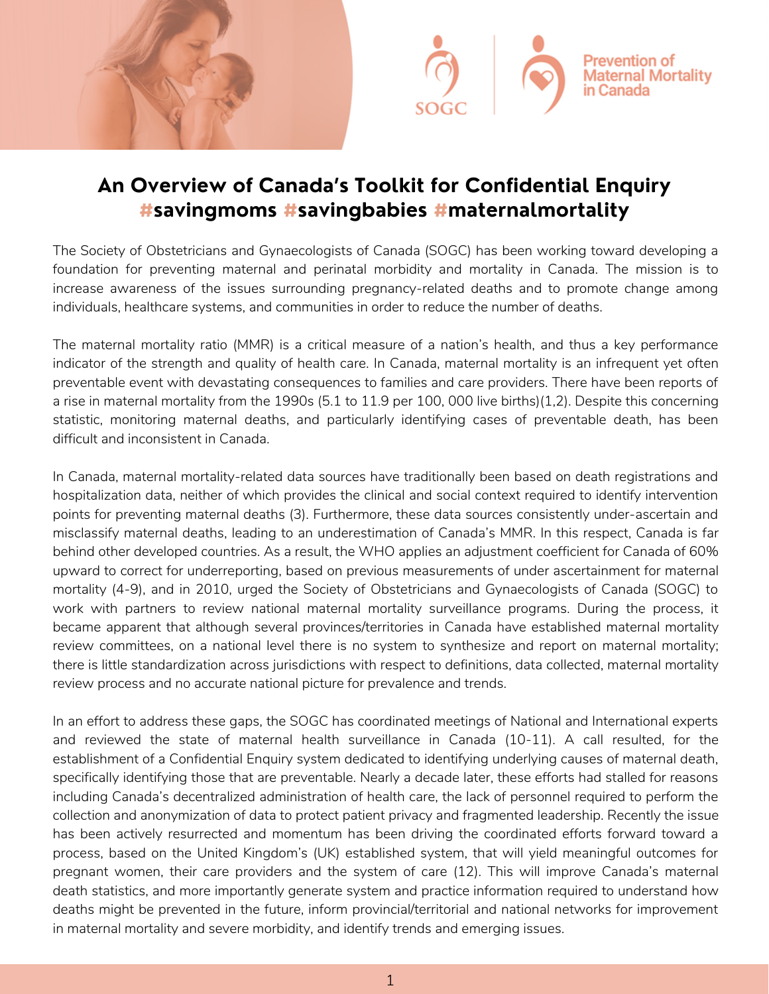



## **An Overview of Canada's Toolkit for Confidential Enquiry #savingmoms #savingbabies #maternalmortality**

The Society of Obstetricians and Gynaecologists of Canada (SOGC) has been working toward developing a foundation for preventing maternal and perinatal morbidity and mortality in Canada. The mission is to increase awareness of the issues surrounding pregnancy-related deaths and to promote change among individuals, healthcare systems, and communities in order to reduce the number of deaths.

The maternal mortality ratio (MMR) is a critical measure of a nation's health, and thus a key performance indicator of the strength and quality of health care. In Canada, maternal mortality is an infrequent yet often preventable event with devastating consequences to families and care providers. There have been reports of a rise in maternal mortality from the 1990s (5.1 to 11.9 per 100, 000 live births)(1,2). Despite this concerning statistic, monitoring maternal deaths, and particularly identifying cases of preventable death, has been difficult and inconsistent in Canada.

In Canada, maternal mortality-related data sources have traditionally been based on death registrations and hospitalization data, neither of which provides the clinical and social context required to identify intervention points for preventing maternal deaths (3). Furthermore, these data sources consistently under-ascertain and misclassify maternal deaths, leading to an underestimation of Canada's MMR. In this respect, Canada is far behind other developed countries. As a result, the WHO applies an adjustment coefficient for Canada of 60% upward to correct for underreporting, based on previous measurements of under ascertainment for maternal mortality (4‐9), and in 2010, urged the Society of Obstetricians and Gynaecologists of Canada (SOGC) to work with partners to review national maternal mortality surveillance programs. During the process, it became apparent that although several provinces/territories in Canada have established maternal mortality review committees, on a national level there is no system to synthesize and report on maternal mortality; there is little standardization across jurisdictions with respect to definitions, data collected, maternal mortality review process and no accurate national picture for prevalence and trends.

In an effort to address these gaps, the SOGC has coordinated meetings of National and International experts and reviewed the state of maternal health surveillance in Canada (10‐11). A call resulted, for the establishment of a Confidential Enquiry system dedicated to identifying underlying causes of maternal death, specifically identifying those that are preventable. Nearly a decade later, these efforts had stalled for reasons including Canada's decentralized administration of health care, the lack of personnel required to perform the collection and anonymization of data to protect patient privacy and fragmented leadership. Recently the issue has been actively resurrected and momentum has been driving the coordinated efforts forward toward a process, based on the United Kingdom's (UK) established system, that will yield meaningful outcomes for pregnant women, their care providers and the system of care (12). This will improve Canada's maternal death statistics, and more importantly generate system and practice information required to understand how deaths might be prevented in the future, inform provincial/territorial and national networks for improvement in maternal mortality and severe morbidity, and identify trends and emerging issues.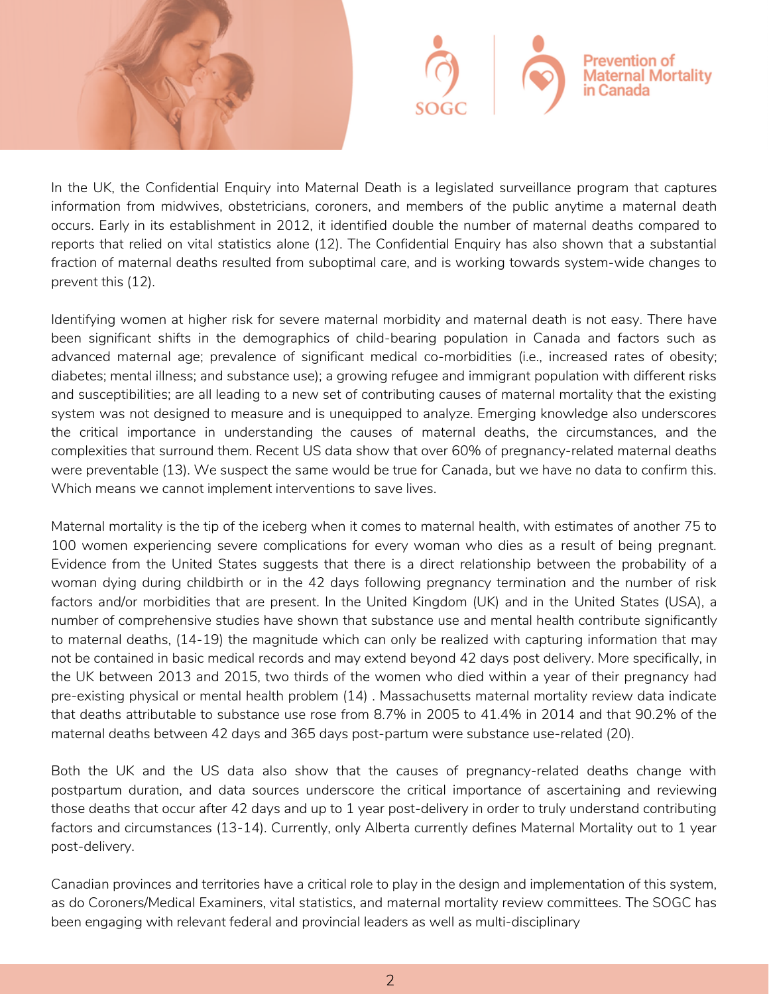



In the UK, the Confidential Enquiry into Maternal Death is a legislated surveillance program that captures information from midwives, obstetricians, coroners, and members of the public anytime a maternal death occurs. Early in its establishment in 2012, it identified double the number of maternal deaths compared to reports that relied on vital statistics alone (12). The Confidential Enquiry has also shown that a substantial fraction of maternal deaths resulted from suboptimal care, and is working towards system‐wide changes to prevent this (12).

Identifying women at higher risk for severe maternal morbidity and maternal death is not easy. There have been significant shifts in the demographics of child‐bearing population in Canada and factors such as advanced maternal age; prevalence of significant medical co-morbidities (i.e., increased rates of obesity; diabetes; mental illness; and substance use); a growing refugee and immigrant population with different risks and susceptibilities; are all leading to a new set of contributing causes of maternal mortality that the existing system was not designed to measure and is unequipped to analyze. Emerging knowledge also underscores the critical importance in understanding the causes of maternal deaths, the circumstances, and the complexities that surround them. Recent US data show that over 60% of pregnancy-related maternal deaths were preventable (13). We suspect the same would be true for Canada, but we have no data to confirm this. Which means we cannot implement interventions to save lives.

Maternal mortality is the tip of the iceberg when it comes to maternal health, with estimates of another 75 to 100 women experiencing severe complications for every woman who dies as a result of being pregnant. Evidence from the United States suggests that there is a direct relationship between the probability of a woman dying during childbirth or in the 42 days following pregnancy termination and the number of risk factors and/or morbidities that are present. In the United Kingdom (UK) and in the United States (USA), a number of comprehensive studies have shown that substance use and mental health contribute significantly to maternal deaths, (14‐19) the magnitude which can only be realized with capturing information that may not be contained in basic medical records and may extend beyond 42 days post delivery. More specifically, in the UK between 2013 and 2015, two thirds of the women who died within a year of their pregnancy had pre‐existing physical or mental health problem (14) . Massachusetts maternal mortality review data indicate that deaths attributable to substance use rose from 8.7% in 2005 to 41.4% in 2014 and that 90.2% of the maternal deaths between 42 days and 365 days post‐partum were substance use‐related (20).

Both the UK and the US data also show that the causes of pregnancy-related deaths change with postpartum duration, and data sources underscore the critical importance of ascertaining and reviewing those deaths that occur after 42 days and up to 1 year post‐delivery in order to truly understand contributing factors and circumstances (13‐14). Currently, only Alberta currently defines Maternal Mortality out to 1 year post‐delivery.

Canadian provinces and territories have a critical role to play in the design and implementation of this system, as do Coroners/Medical Examiners, vital statistics, and maternal mortality review committees. The SOGC has been engaging with relevant federal and provincial leaders as well as multi‐disciplinary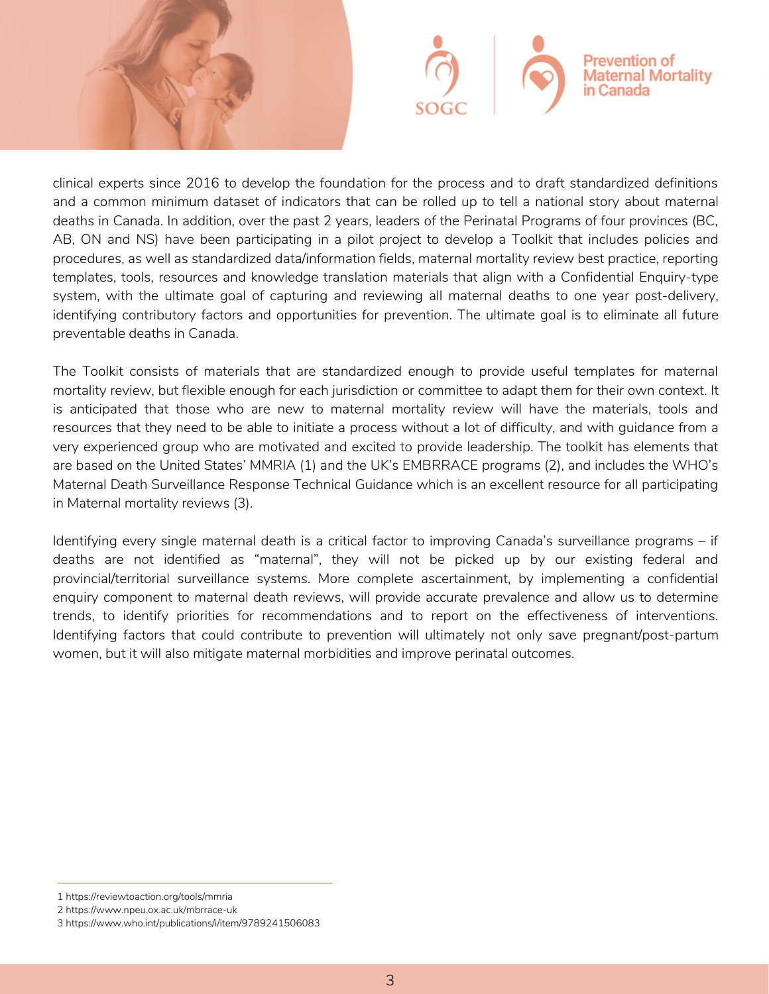



clinical experts since 2016 to develop the foundation for the process and to draft standardized definitions and a common minimum dataset of indicators that can be rolled up to tell a national story about maternal deaths in Canada. In addition, over the past 2 years, leaders of the Perinatal Programs of four provinces (BC, AB, ON and NS) have been participating in a pilot project to develop a Toolkit that includes policies and procedures, as well as standardized data/information fields, maternal mortality review best practice, reporting templates, tools, resources and knowledge translation materials that align with a Confidential Enquiry‐type system, with the ultimate goal of capturing and reviewing all maternal deaths to one year post-delivery, identifying contributory factors and opportunities for prevention. The ultimate goal is to eliminate all future preventable deaths in Canada.

The Toolkit consists of materials that are standardized enough to provide useful templates for maternal mortality review, but flexible enough for each jurisdiction or committee to adapt them for their own context. It is anticipated that those who are new to maternal mortality review will have the materials, tools and resources that they need to be able to initiate a process without a lot of difficulty, and with guidance from a very experienced group who are motivated and excited to provide leadership. The toolkit has elements that are based on the United States' MMRIA (1) and the UK's EMBRRACE programs (2), and includes the WHO's Maternal Death Surveillance Response Technical Guidance which is an excellent resource for all participating in Maternal mortality reviews (3).

Identifying every single maternal death is a critical factor to improving Canada's surveillance programs – if deaths are not identified as "maternal", they will not be picked up by our existing federal and provincial/territorial surveillance systems. More complete ascertainment, by implementing a confidential enquiry component to maternal death reviews, will provide accurate prevalence and allow us to determine trends, to identify priorities for recommendations and to report on the effectiveness of interventions. Identifying factors that could contribute to prevention will ultimately not only save pregnant/post-partum women, but it will also mitigate maternal morbidities and improve perinatal outcomes.

<sup>1</sup> https://reviewtoaction.org/tools/mmria

<sup>2</sup> https://www.npeu.ox.ac.uk/mbrrace-uk

<sup>3</sup> https://www.who.int/publications/i/item/9789241506083